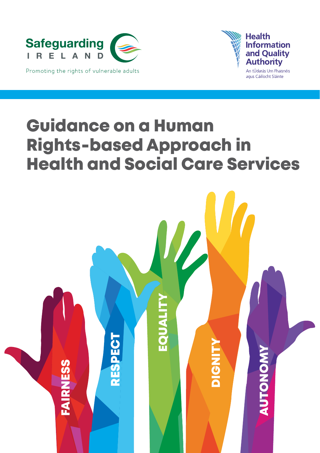



Guidance on a Human Rights-based Approach in Health and Social Care Services

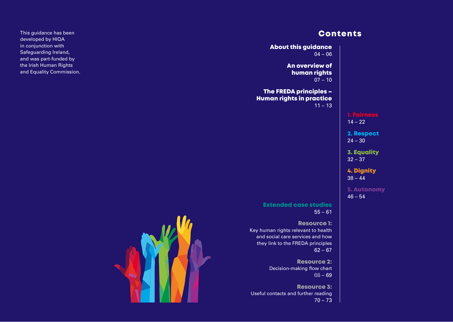# **Contents**

| <b>About this guidance</b><br>$04 - 06$                                                                                                         |                                 |
|-------------------------------------------------------------------------------------------------------------------------------------------------|---------------------------------|
| An overview of<br>human rights<br>$07 - 10$                                                                                                     |                                 |
| <b>The FREDA principles -</b><br><b>Human rights in practice</b><br>$11 - 13$                                                                   |                                 |
|                                                                                                                                                 | 1. Fairness<br>$14 - 22$        |
|                                                                                                                                                 | 2. Respect<br>$24 - 30$         |
|                                                                                                                                                 | <b>3. Equality</b><br>$32 - 37$ |
|                                                                                                                                                 | <b>4. Dignity</b><br>$38 - 44$  |
|                                                                                                                                                 | <b>5. Autonomy</b><br>$46 - 54$ |
| <b>Extended case studies</b><br>$55 - 61$                                                                                                       |                                 |
| <b>Resource 1:</b><br>Key human rights relevant to health<br>and social care services and how<br>they link to the FREDA principles<br>$62 - 67$ |                                 |
| <b>Resource 2:</b><br>Decision-making flow chart<br>$68 - 69$                                                                                   |                                 |
| <b>Resource 3:</b><br>Useful contacts and further reading<br>$70 - 73$                                                                          |                                 |

Key



This guidance has been developed by HIQA in conjunction with Safeguarding Ireland, and was part-funded by the Irish Human Rights and Equality Commission.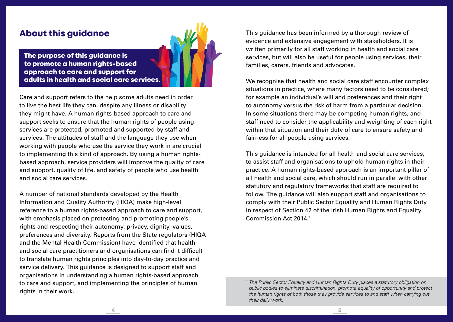# About this guidance



The purpose of this guidance is to promote a human rights-based approach to care and support for adults in health and social care services.

Care and support refers to the help some adults need in order to live the best life they can, despite any illness or disability they might have. A human rights-based approach to care and support seeks to ensure that the human rights of people using services are protected, promoted and supported by staff and services. The attitudes of staff and the language they use when working with people who use the service they work in are crucial to implementing this kind of approach. By using a human rightsbased approach, service providers will improve the quality of care and support, quality of life, and safety of people who use health and social care services.

A number of national standards developed by the Health Information and Quality Authority (HIQA) make high-level reference to a human rights-based approach to care and support, with emphasis placed on protecting and promoting people's rights and respecting their autonomy, privacy, dignity, values, preferences and diversity. Reports from the State regulators (HIQA and the Mental Health Commission) have identified that health and social care practitioners and organisations can find it difficult to translate human rights principles into day-to-day practice and service delivery. This quidance is designed to support staff and organisations in understanding a human rights-based approach to care and support, and implementing the principles of human rights in their work.

This guidance has been informed by a thorough review of evidence and extensive engagement with stakeholders. It is written primarily for all staff working in health and social care services, but will also be useful for people using services, their families, carers, friends and advocates.

We recognise that health and social care staff encounter complex situations in practice, where many factors need to be considered; for example an individual's will and preferences and their right to autonomy versus the risk of harm from a particular decision. In some situations there may be competing human rights, and staff need to consider the applicability and weighting of each right within that situation and their duty of care to ensure safety and fairness for all people using services.

This guidance is intended for all health and social care services, to assist staff and organisations to uphold human rights in their practice. A human rights-based approach is an important pillar of all health and social care, which should run in parallel with other statutory and regulatory frameworks that staff are required to follow. The quidance will also support staff and organisations to comply with their Public Sector Equality and Human Rights Duty in respect of Section 42 of the Irish Human Rights and Equality Commission Act 2014<sup>1</sup>

*<sup>1</sup> The Public Sector Equality and Human Rights Duty places a statutory obligation on public bodies to eliminate discrimination, promote equality of opportunity and protect the human rights of both those they provide services to and staff when carrying out their daily work.*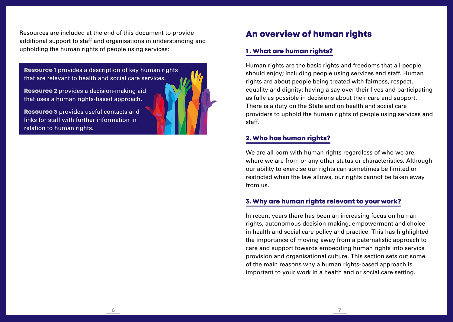Resources are included at the end of this document to provide additional support to staff and organisations in understanding and upholding the human rights of people using services:

**Resource 1** provides a description of key human rights that are relevant to health and social care services.

Resource 2 provides a decision-making aid that uses a human rights-based approach.

Resource 3 provides useful contacts and links for staff with further information in relation to human rights.

# An overview of human rights

## 1 . What are human rights?

Human rights are the basic rights and freedoms that all people should enjoy; including people using services and staff. Human rights are about people being treated with fairness, respect, equality and dignity; having a say over their lives and participating as fully as possible in decisions about their care and support. There is a duty on the State and on health and social care providers to uphold the human rights of people using services and staff.

# 2. Who has human rights?

 $\sim$  7

We are all born with human rights regardless of who we are. where we are from or any other status or characteristics. Although our ability to exercise our rights can sometimes be limited or restricted when the law allows, our rights cannot be taken away from us.

# 3. Why are human rights relevant to your work?

In recent years there has been an increasing focus on human rights, autonomous decision-making, empowerment and choice in health and social care policy and practice. This has highlighted the importance of moving away from a paternalistic approach to care and support towards embedding human rights into service provision and organisational culture. This section sets out some of the main reasons why a human rights-based approach is important to your work in a health and or social care setting.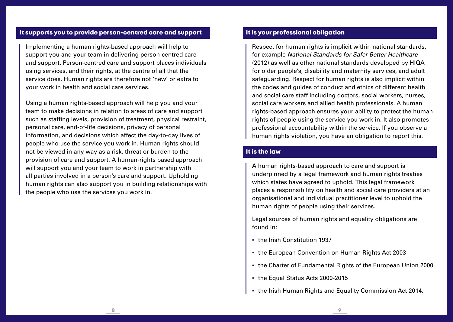#### It supports you to provide person-centred care and support

Implementing a human rights-based approach will help to support you and your team in delivering person-centred care and support. Person-centred care and support places individuals using services, and their rights, at the centre of all that the service does. Human rights are therefore not 'new' or extra to your work in health and social care services.

Using a human rights-based approach will help you and your team to make decisions in relation to areas of care and support such as staffing levels, provision of treatment, physical restraint, personal care, end-of-life decisions, privacy of personal information, and decisions which affect the day-to-day lives of people who use the service you work in. Human rights should not be viewed in any way as a risk, threat or burden to the provision of care and support. A human-rights based approach will support you and your team to work in partnership with all parties involved in a person's care and support. Upholding human rights can also support you in building relationships with the people who use the services you work in.

#### It is your professional obligation

Respect for human rights is implicit within national standards, for example *National Standards for Safer Better Healthcare*  (2012) as well as other national standards developed by HIQA for older people's, disability and maternity services, and adult safeguarding. Respect for human rights is also implicit within the codes and guides of conduct and ethics of different health and social care staff including doctors, social workers, nurses, social care workers and allied health professionals. A human rights-based approach ensures your ability to protect the human rights of people using the service you work in. It also promotes professional accountability within the service. If you observe a human rights violation, you have an obligation to report this.

### It is the law

8 9

A human rights-based approach to care and support is underpinned by a legal framework and human rights treaties which states have agreed to uphold. This legal framework places a responsibility on health and social care providers at an organisational and individual practitioner level to uphold the human rights of people using their services.

Legal sources of human rights and equality obligations are found in:

- the Irish Constitution 1937
- the European Convention on Human Rights Act 2003
- the Charter of Fundamental Rights of the European Union 2000
- the Equal Status Acts 2000-2015
- the Irish Human Rights and Equality Commission Act 2014.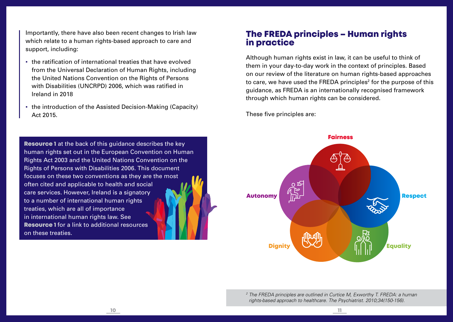Importantly, there have also been recent changes to Irish law which relate to a human rights-based approach to care and support, including:

- . the ratification of international treaties that have evolved from the Universal Declaration of Human Rights, including the United Nations Convention on the Rights of Persons with Disabilities (UNCRPD) 2006, which was ratified in Ireland in 2018
- . the introduction of the Assisted Decision-Making (Capacity) Act 2015.

**Resource 1** at the back of this guidance describes the key human rights set out in the European Convention on Human Rights Act 2003 and the United Nations Convention on the Rights of Persons with Disabilities 2006. This document focuses on these two conventions as they are the most often cited and applicable to health and social care services. However, Ireland is a signatory to a number of international human rights treaties, which are all of importance in international human rights law. See Resource 1 for a link to additional resources on these treaties.

# The FREDA principles – Human rights in practice

Although human rights exist in law, it can be useful to think of them in your day-to-day work in the context of principles. Based on our review of the literature on human rights-based approaches to care, we have used the FREDA principles<sup>2</sup> for the purpose of this guidance, as FREDA is an internationally recognised framework through which human rights can be considered.

These five principles are:



*<sup>2</sup> The FREDA principles are outlined in Curtice M, Exworthy T. FREDA: a human rights-based approach to healthcare. The Psychiatrist. 2010;34(150-156).*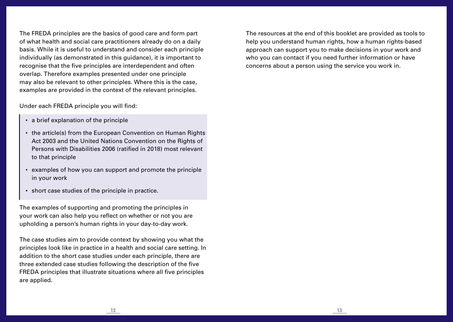The FREDA principles are the basics of good care and form part of what health and social care practitioners already do on a daily basis. While it is useful to understand and consider each principle individually (as demonstrated in this guidance), it is important to recognise that the five principles are interdependent and often overlap. Therefore examples presented under one principle may also be relevant to other principles. Where this is the case, examples are provided in the context of the relevant principles.

Under each FREDA principle you will find:

- a brief explanation of the principle
- the article(s) from the European Convention on Human Rights Act 2003 and the United Nations Convention on the Rights of Persons with Disabilities 2006 (ratified in 2018) most relevant to that principle
- examples of how you can support and promote the principle in your work
- short case studies of the principle in practice.

The examples of supporting and promoting the principles in your work can also help you reflect on whether or not you are upholding a person's human rights in your day-to-day work.

The case studies aim to provide context by showing you what the principles look like in practice in a health and social care setting. In addition to the short case studies under each principle, there are three extended case studies following the description of the five FREDA principles that illustrate situations where all five principles are applied.

The resources at the end of this booklet are provided as tools to help you understand human rights, how a human rights-based approach can support you to make decisions in your work and who you can contact if you need further information or have concerns about a person using the service you work in.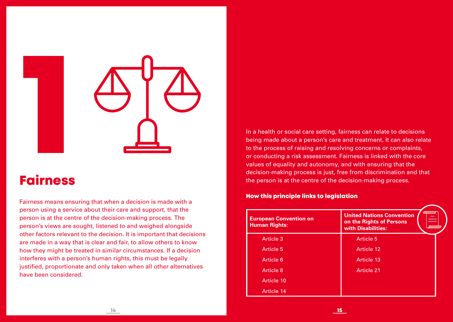

# Fairness

Fairness means ensuring that when a decision is made with a person using a service about their care and support, that the person is at the centre of the decision-making process. The person's views are sought, listened to and weighed alongside other factors relevant to the decision. It is important that decisions are made in a way that is clear and fair, to allow others to know how they might be treated in similar circumstances. If a decision interferes with a person's human rights, this must be legally justified, proportionate and only taken when all other alternatives have been considered.

In a health or social care setting, fairness can relate to decisions being made about a person's care and treatment. It can also relate to the process of raising and resolving concerns or complaints, or conducting a risk assessment. Fairness is linked with the core values of equality and autonomy, and with ensuring that the decision-making process is just, free from discrimination and that the person is at the centre of the decision-making process.

#### How this principle links to legislation

| <b>European Convention on</b><br><b>Human Rights:</b> | <b>United Nations Convention</b><br>on the Rights of Persons<br>with Disabilities: |
|-------------------------------------------------------|------------------------------------------------------------------------------------|
| <b>Article 3</b>                                      | <b>Article 5</b>                                                                   |
| Article 5                                             | Article 12                                                                         |
| Article 6                                             | Article 13                                                                         |
| <b>Article 8</b>                                      | <b>Article 21</b>                                                                  |
| Article 10                                            |                                                                                    |
| Article 14                                            |                                                                                    |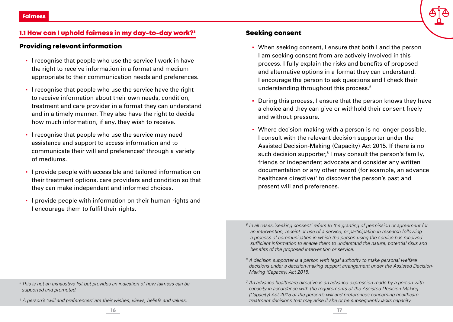# 1.1 How can I uphold fairness in my day-to-day work?<sup>3</sup>

#### Providing relevant information

- I recognise that people who use the service I work in have the right to receive information in a format and medium appropriate to their communication needs and preferences.
- **.** I recognise that people who use the service have the right to receive information about their own needs, condition, treatment and care provider in a format they can understand and in a timely manner. They also have the right to decide how much information, if any, they wish to receive.
- I recognise that people who use the service may need assistance and support to access information and to communicate their will and preferences<sup>4</sup> through a variety of mediums.
- I provide people with accessible and tailored information on their treatment options, care providers and condition so that they can make independent and informed choices.
- I provide people with information on their human rights and I encourage them to fulfil their rights.

# Seeking consent

- When seeking consent, I ensure that both I and the person I am seeking consent from are actively involved in this process. I fully explain the risks and benefits of proposed and alternative options in a format they can understand. I encourage the person to ask questions and I check their understanding throughout this process.5
- During this process, I ensure that the person knows they have a choice and they can give or withhold their consent freely and without pressure.
- Where decision-making with a person is no longer possible, I consult with the relevant decision supporter under the Assisted Decision-Making (Capacity) Act 2015. If there is no such decision supporter,<sup>6</sup> I may consult the person's family, friends or independent advocate and consider any written documentation or any other record (for example, an advance healthcare directive)<sup>7</sup> to discover the person's past and present will and preferences.

- <sup>5</sup> In all cases, 'seeking consent' refers to the granting of permission or agreement for *an intervention, receipt or use of a service, or participation in research following a process of communication in which the person using the service has received sufficient information to enable them to understand the nature, potential risks and benefits of the proposed intervention or service.*
- *<sup>6</sup> A decision supporter is a person with legal authority to make personal welfare decisions under a decision-making support arrangement under the Assisted Decision-Making (Capacity) Act 2015.*
- *<sup>7</sup> An advance healthcare directive is an advance expression made by a person with capacity in accordance with the requirements of the Assisted Decision-Making (Capacity) Act 2015 of the person's will and preferences concerning healthcare treatment decisions that may arise if she or he subsequently lacks capacity.*

*4 A person's 'will and preferences' are their wishes, views, beliefs and values.* 

*<sup>3</sup> This is not an exhaustive list but provides an indication of how fairness can be supported and promoted.*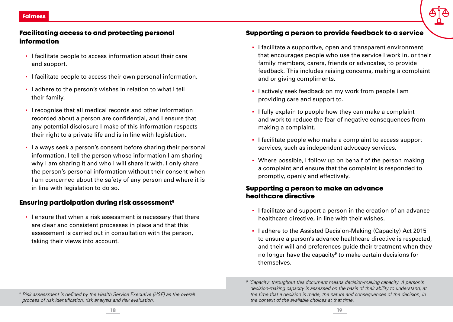# Facilitating access to and protecting personal information

- I facilitate people to access information about their care and support.
- I facilitate people to access their own personal information.
- I adhere to the person's wishes in relation to what I tell their family.
- I recognise that all medical records and other information recorded about a person are confidential, and I ensure that any potential disclosure I make of this information respects their right to a private life and is in line with legislation.
- I always seek a person's consent before sharing their personal information. I tell the person whose information I am sharing why I am sharing it and who I will share it with. I only share the person's personal information without their consent when I am concerned about the safety of any person and where it is in line with legislation to do so.

# Ensuring participation during risk assessment8

**.** I ensure that when a risk assessment is necessary that there are clear and consistent processes in place and that this assessment is carried out in consultation with the person, taking their views into account.

## Supporting a person to provide feedback to a service

- I facilitate a supportive, open and transparent environment that encourages people who use the service I work in, or their family members, carers, friends or advocates, to provide feedback. This includes raising concerns, making a complaint and or giving compliments.
- I actively seek feedback on my work from people I am providing care and support to.
- I fully explain to people how they can make a complaint and work to reduce the fear of negative consequences from making a complaint.
- I facilitate people who make a complaint to access support services, such as independent advocacy services.
- Where possible, I follow up on behalf of the person making a complaint and ensure that the complaint is responded to promptly, openly and effectively.

#### Supporting a person to make an advance healthcare directive

- I facilitate and support a person in the creation of an advance healthcare directive, in line with their wishes.
- I adhere to the Assisted Decision-Making (Capacity) Act 2015 to ensure a person's advance healthcare directive is respected, and their will and preferences guide their treatment when they no longer have the capacity<sup>9</sup> to make certain decisions for themselves.

*<sup>8</sup> Risk assessment is defined by the Health Service Executive (HSE) as the overall process of risk identification, risk analysis and risk evaluation.*

<sup>&</sup>lt;sup>9</sup> 'Capacity' throughout this document means decision-making capacity. A person's *decision-making capacity is assessed on the basis of their ability to understand, at the time that a decision is made, the nature and consequences of the decision, in the context of the available choices at that time.*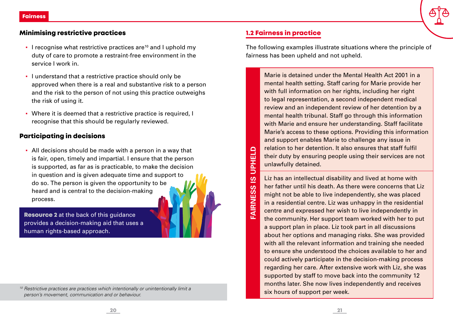# Minimising restrictive practices

- I recognise what restrictive practices are<sup>10</sup> and I uphold my duty of care to promote a restraint-free environment in the service I work in.
- I understand that a restrictive practice should only be approved when there is a real and substantive risk to a person and the risk to the person of not using this practice outweighs the risk of using it.
- Where it is deemed that a restrictive practice is required, I recognise that this should be regularly reviewed.

# Participating in decisions

▪ All decisions should be made with a person in a way that is fair, open, timely and impartial. I ensure that the person is supported, as far as is practicable, to make the decision in question and is given adequate time and support to do so. The person is given the opportunity to be heard and is central to the decision-making process.

**Resource 2** at the back of this quidance provides a decision-making aid that uses a human rights-based approach.

*<sup>10</sup> Restrictive practices are practices which intentionally or unintentionally limit a person's movement, communication and or behaviour.*

# 1.2 Fairness in practice

**FAIRNESS IS UPHELD**

**FAIRNESS** 

 $\overline{\omega}$ 

**UPHELD** 

The following examples illustrate situations where the principle of fairness has been upheld and not upheld.

Marie is detained under the Mental Health Act 2001 in a mental health setting. Staff caring for Marie provide her with full information on her rights, including her right to legal representation, a second independent medical review and an independent review of her detention by a mental health tribunal. Staff go through this information with Marie and ensure her understanding. Staff facilitate Marie's access to these options. Providing this information and support enables Marie to challenge any issue in relation to her detention. It also ensures that staff fulfil their duty by ensuring people using their services are not unlawfully detained.

Liz has an intellectual disability and lived at home with her father until his death. As there were concerns that Liz might not be able to live independently, she was placed in a residential centre. Liz was unhappy in the residential centre and expressed her wish to live independently in the community. Her support team worked with her to put a support plan in place. Liz took part in all discussions about her options and managing risks. She was provided with all the relevant information and training she needed to ensure she understood the choices available to her and could actively participate in the decision-making process regarding her care. After extensive work with Liz, she was supported by staff to move back into the community 12 months later. She now lives independently and receives six hours of support per week.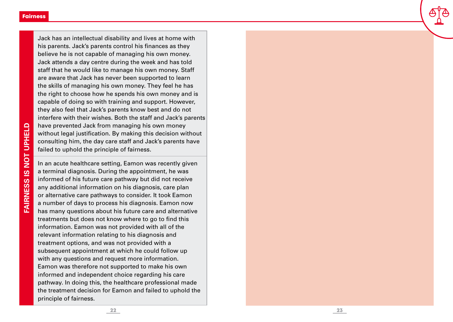Jack has an intellectual disability and lives at home with his parents. Jack's parents control his finances as they believe he is not capable of managing his own money. Jack attends a day centre during the week and has told staff that he would like to manage his own money. Staff are aware that Jack has never been supported to learn the skills of managing his own money. They feel he has the right to choose how he spends his own money and is capable of doing so with training and support. However, they also feel that Jack's parents know best and do not interfere with their wishes. Both the staff and Jack's parents have prevented Jack from managing his own money without legal justification. By making this decision without consulting him, the day care staff and Jack's parents have failed to uphold the principle of fairness.

In an acute healthcare setting, Eamon was recently given a terminal diagnosis. During the appointment, he was informed of his future care pathway but did not receive any additional information on his diagnosis, care plan or alternative care pathways to consider. It took Eamon a number of days to process his diagnosis. Eamon now has many questions about his future care and alternative treatments but does not know where to go to find this information. Eamon was not provided with all of the relevant information relating to his diagnosis and treatment options, and was not provided with a subsequent appointment at which he could follow up with any questions and request more information. Eamon was therefore not supported to make his own informed and independent choice regarding his care pathway. In doing this, the healthcare professional made the treatment decision for Eamon and failed to uphold the principle of fairness.

**FAIRNESS IS NOT UPHELD FAIRNESS IS NOT UPHELD**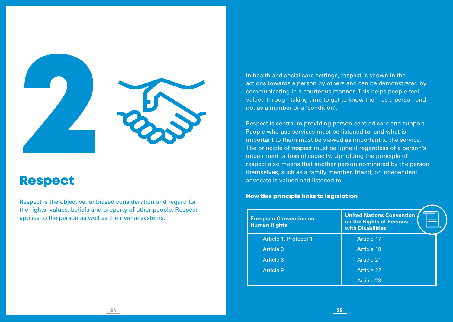

# Respect

Respect is the objective, unbiased consideration and regard for the rights, values, beliefs and property of other people. Respect applies to the person as well as their value systems.

In health and social care settings, respect is shown in the actions towards a person by others and can be demonstrated by communicating in a courteous manner. This helps people feel valued through taking time to get to know them as a person and not as a number or a 'condition'.

Respect is central to providing person-centred care and support. People who use services must be listened to, and what is important to them must be viewed as important to the service. The principle of respect must be upheld regardless of a person's impairment or loss of capacity. Upholding the principle of respect also means that another person nominated by the person themselves, such as a family member, friend, or independent advocate is valued and listened to.

#### How this principle links to legislation

| <b>European Convention on</b><br><b>Human Rights:</b> | <b>United Nations Convention</b><br>on the Rights of Persons<br>with Disabilities: |
|-------------------------------------------------------|------------------------------------------------------------------------------------|
| Article 1, Protocol 1                                 | <b>Article 17</b>                                                                  |
| Article 3                                             | Article 19                                                                         |
| Article 8                                             | <b>Article 21</b>                                                                  |
| Article 9                                             | <b>Article 22</b>                                                                  |
|                                                       | Article 23                                                                         |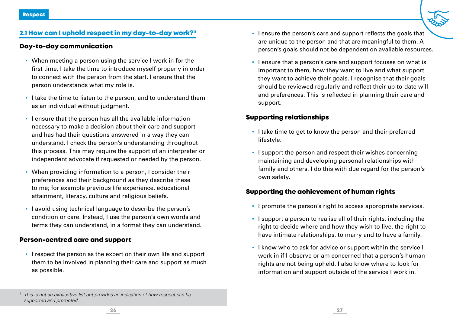#### 2.1 How can I uphold respect in my day-to-day work?"

#### Day-to-day communication

- When meeting a person using the service I work in for the first time, I take the time to introduce myself properly in order to connect with the person from the start. I ensure that the person understands what my role is.
- **.** I take the time to listen to the person, and to understand them as an individual without judgment.
- I ensure that the person has all the available information necessary to make a decision about their care and support and has had their questions answered in a way they can understand. I check the person's understanding throughout this process. This may require the support of an interpreter or independent advocate if requested or needed by the person.
- When providing information to a person, I consider their preferences and their background as they describe these to me; for example previous life experience, educational attainment, literacy, culture and religious beliefs.
- I avoid using technical language to describe the person's condition or care. Instead, I use the person's own words and terms they can understand, in a format they can understand.

#### Person-centred care and support

▪ I respect the person as the expert on their own life and support them to be involved in planning their care and support as much as possible.

- I ensure the person's care and support reflects the goals that are unique to the person and that are meaningful to them. A person's goals should not be dependent on available resources.
- I ensure that a person's care and support focuses on what is important to them, how they want to live and what support they want to achieve their goals. I recognise that their goals should be reviewed regularly and reflect their up-to-date will and preferences. This is reflected in planning their care and support.

#### Supporting relationships

- I take time to get to know the person and their preferred lifestyle.
- I support the person and respect their wishes concerning maintaining and developing personal relationships with family and others. I do this with due regard for the person's own safety.

#### Supporting the achievement of human rights

- I promote the person's right to access appropriate services.
- **.** I support a person to realise all of their rights, including the right to decide where and how they wish to live, the right to have intimate relationships, to marry and to have a family.
- **.** I know who to ask for advice or support within the service I work in if I observe or am concerned that a person's human rights are not being upheld. I also know where to look for information and support outside of the service I work in.

*<sup>11</sup> This is not an exhaustive list but provides an indication of how respect can be supported and promoted.*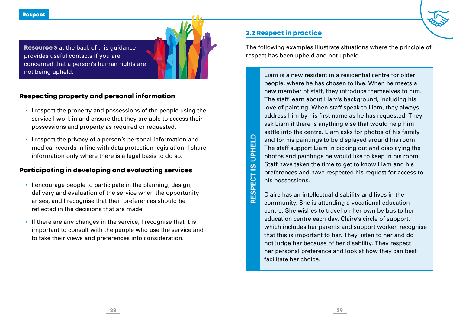**Resource 3** at the back of this guidance provides useful contacts if you are concerned that a person's human rights are not being upheld.

# Respecting property and personal information

- I respect the property and possessions of the people using the service I work in and ensure that they are able to access their possessions and property as required or requested.
- I respect the privacy of a person's personal information and medical records in line with data protection legislation. I share information only where there is a legal basis to do so.

# Participating in developing and evaluating services

- I encourage people to participate in the planning, design, delivery and evaluation of the service when the opportunity arises, and I recognise that their preferences should be reflected in the decisions that are made.
- If there are any changes in the service, I recognise that it is important to consult with the people who use the service and to take their views and preferences into consideration.

# 2.2 Respect in practice

**RESPECT IS UPHELD**

RESPECT IS

**UPHELD** 

The following examples illustrate situations where the principle of respect has been upheld and not upheld.

Liam is a new resident in a residential centre for older people, where he has chosen to live. When he meets a new member of staff, they introduce themselves to him. The staff learn about Liam's background, including his love of painting. When staff speak to Liam, they always address him by his first name as he has requested. They ask Liam if there is anything else that would help him settle into the centre. Liam asks for photos of his family and for his paintings to be displayed around his room. The staff support Liam in picking out and displaying the photos and paintings he would like to keep in his room. Staff have taken the time to get to know Liam and his preferences and have respected his request for access to his possessions.

Claire has an intellectual disability and lives in the community. She is attending a vocational education centre. She wishes to travel on her own by bus to her education centre each day. Claire's circle of support, which includes her parents and support worker, recognise that this is important to her. They listen to her and do not judge her because of her disability. They respect her personal preference and look at how they can best facilitate her choice.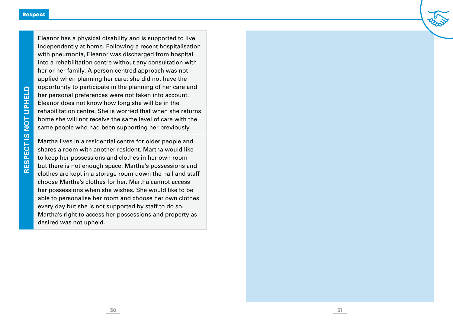Eleanor has a physical disability and is supported to live independently at home. Following a recent hospitalisation with pneumonia, Eleanor was discharged from hospital into a rehabilitation centre without any consultation with her or her family. A person-centred approach was not applied when planning her care; she did not have the opportunity to participate in the planning of her care and her personal preferences were not taken into account. Eleanor does not know how long she will be in the rehabilitation centre. She is worried that when she returns home she will not receive the same level of care with the same people who had been supporting her previously.

Martha lives in a residential centre for older people and shares a room with another resident. Martha would like to keep her possessions and clothes in her own room but there is not enough space. Martha's possessions and clothes are kept in a storage room down the hall and staff choose Martha's clothes for her. Martha cannot access her possessions when she wishes. She would like to be able to personalise her room and choose her own clothes every day but she is not supported by staff to do so. Martha's right to access her possessions and property as desired was not upheld.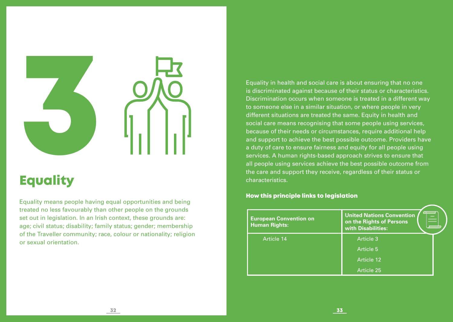

# **Equality**

Equality means people having equal opportunities and being treated no less favourably than other people on the grounds set out in legislation. In an Irish context, these grounds are: age; civil status; disability; family status; gender; membership of the Traveller community; race, colour or nationality; religion or sexual orientation.

Equality in health and social care is about ensuring that no one is discriminated against because of their status or characteristics. Discrimination occurs when someone is treated in a different way to someone else in a similar situation, or where people in very different situations are treated the same. Equity in health and social care means recognising that some people using services, because of their needs or circumstances, require additional help and support to achieve the best possible outcome. Providers have a duty of care to ensure fairness and equity for all people using services. A human rights-based approach strives to ensure that all people using services achieve the best possible outcome from the care and support they receive, regardless of their status or characteristics.

#### How this principle links to legislation

| <b>European Convention on</b><br><b>Human Rights:</b> | <b>United Nations Convention</b><br>on the Rights of Persons<br>with Disabilities: |
|-------------------------------------------------------|------------------------------------------------------------------------------------|
| Article 14                                            | Article 3                                                                          |
|                                                       | Article 5                                                                          |
|                                                       | Article 12                                                                         |
|                                                       | Article 25                                                                         |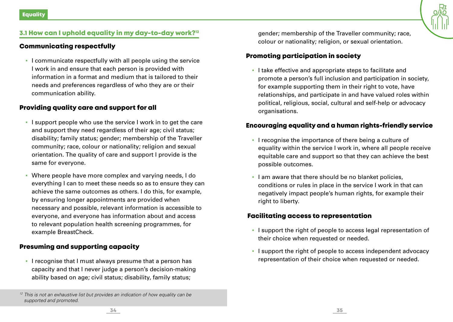

# 3.1 How can I uphold equality in my day-to-day work?<sup>12</sup>

# Communicating respectfully

▪ I communicate respectfully with all people using the service I work in and ensure that each person is provided with information in a format and medium that is tailored to their needs and preferences regardless of who they are or their communication ability.

# Providing quality care and support for all

- I support people who use the service I work in to get the care and support they need regardless of their age; civil status; disability; family status; gender; membership of the Traveller community; race, colour or nationality; religion and sexual orientation. The quality of care and support I provide is the same for everyone.
- Where people have more complex and varying needs, I do everything I can to meet these needs so as to ensure they can achieve the same outcomes as others. I do this, for example, by ensuring longer appointments are provided when necessary and possible, relevant information is accessible to everyone, and everyone has information about and access to relevant population health screening programmes, for example BreastCheck.

# Presuming and supporting capacity

▪ I recognise that I must always presume that a person has capacity and that I never judge a person's decision-making ability based on age; civil status; disability, family status;

gender; membership of the Traveller community; race, colour or nationality; religion, or sexual orientation.

# Promoting participation in society

▪ I take effective and appropriate steps to facilitate and promote a person's full inclusion and participation in society, for example supporting them in their right to vote, have relationships, and participate in and have valued roles within political, religious, social, cultural and self-help or advocacy organisations.

# Encouraging equality and a human rights-friendly service

- I recognise the importance of there being a culture of equality within the service I work in, where all people receive equitable care and support so that they can achieve the best possible outcomes.
- I am aware that there should be no blanket policies, conditions or rules in place in the service I work in that can negatively impact people's human rights, for example their right to liberty.

# Facilitating access to representation

- I support the right of people to access legal representation of their choice when requested or needed.
- I support the right of people to access independent advocacy representation of their choice when requested or needed.

<sup>&</sup>lt;sup>12</sup> *This is not an exhaustive list but provides an indication of how equality can be supported and promoted.*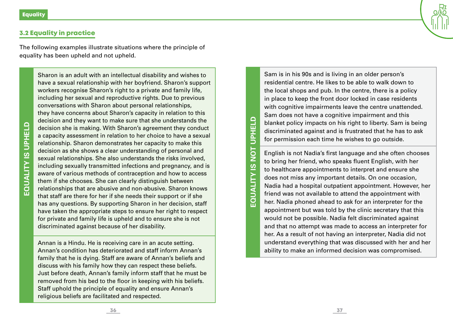#### 3.2 Equality in practice

The following examples illustrate situations where the principle of equality has been upheld and not upheld.

Sharon is an adult with an intellectual disability and wishes to have a sexual relationship with her boyfriend. Sharon's support workers recognise Sharon's right to a private and family life, including her sexual and reproductive rights. Due to previous conversations with Sharon about personal relationships, they have concerns about Sharon's capacity in relation to this decision and they want to make sure that she understands the decision she is making. With Sharon's agreement they conduct a capacity assessment in relation to her choice to have a sexual relationship. Sharon demonstrates her capacity to make this decision as she shows a clear understanding of personal and sexual relationships. She also understands the risks involved, including sexually transmitted infections and pregnancy, and is aware of various methods of contraception and how to access them if she chooses. She can clearly distinguish between relationships that are abusive and non-abusive. Sharon knows that staff are there for her if she needs their support or if she has any questions. By supporting Sharon in her decision, staff have taken the appropriate steps to ensure her right to respect for private and family life is upheld and to ensure she is not discriminated against because of her disability.

Annan is a Hindu. He is receiving care in an acute setting. Annan's condition has deteriorated and staff inform Annan's family that he is dying. Staff are aware of Annan's beliefs and discuss with his family how they can respect these beliefs. Just before death, Annan's family inform staff that he must be removed from his bed to the floor in keeping with his beliefs. Staff uphold the principle of equality and ensure Annan's religious beliefs are facilitated and respected.

Sam is in his 90s and is living in an older person's residential centre. He likes to be able to walk down to the local shops and pub. In the centre, there is a policy in place to keep the front door locked in case residents with cognitive impairments leave the centre unattended. Sam does not have a cognitive impairment and this blanket policy impacts on his right to liberty. Sam is being discriminated against and is frustrated that he has to ask for permission each time he wishes to go outside.

English is not Nadia's first language and she often chooses to bring her friend, who speaks fluent English, with her to healthcare appointments to interpret and ensure she does not miss any important details. On one occasion, Nadia had a hospital outpatient appointment. However, her friend was not available to attend the appointment with her. Nadia phoned ahead to ask for an interpreter for the appointment but was told by the clinic secretary that this would not be possible. Nadia felt discriminated against and that no attempt was made to access an interpreter for her. As a result of not having an interpreter, Nadia did not understand everything that was discussed with her and her ability to make an informed decision was compromised.

**EQUALITY IS NOT UPHELD**

**EQUALITY IS** 

**DOL** 

**UPHELD**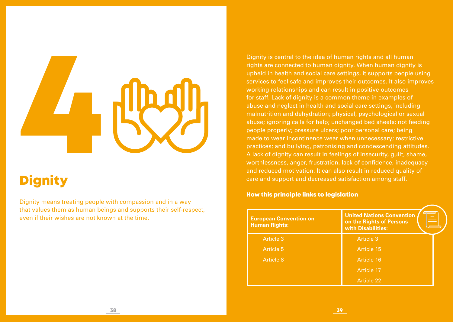# **1998**<br>Bignity

# **Dignity**

Dignity means treating people with compassion and in a way that values them as human beings and supports their self-respect, even if their wishes are not known at the time.

Dignity is central to the idea of human rights and all human rights are connected to human dignity. When human dignity is upheld in health and social care settings, it supports people using services to feel safe and improves their outcomes. It also improves working relationships and can result in positive outcomes for staff. Lack of dignity is a common theme in examples of abuse and neglect in health and social care settings, including malnutrition and dehydration; physical, psychological or sexual abuse; ignoring calls for help; unchanged bed sheets; not feeding people properly; pressure ulcers; poor personal care; being made to wear incontinence wear when unnecessary; restrictive practices; and bullying, patronising and condescending attitudes. A lack of dignity can result in feelings of insecurity, guilt, shame, worthlessness, anger, frustration, lack of confidence, inadequacy and reduced motivation. It can also result in reduced quality of care and support and decreased satisfaction among staff.

#### How this principle links to legislation

| <b>European Convention on</b><br><b>Human Rights:</b> | <b>United Nations Convention</b><br>on the Rights of Persons<br>with Disabilities: |
|-------------------------------------------------------|------------------------------------------------------------------------------------|
| <b>Article 3</b>                                      | Article 3                                                                          |
| Article 5                                             | Article 15                                                                         |
| Article 8                                             | Article 16                                                                         |
|                                                       | Article 17                                                                         |
|                                                       | <b>Article 22</b>                                                                  |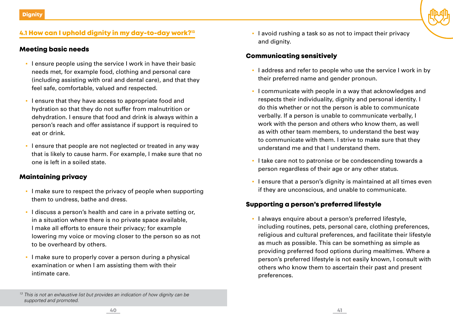# 4.1 How can I uphold dignity in my day-to-day work?13

#### Meeting basic needs

- **.** I ensure people using the service I work in have their basic needs met, for example food, clothing and personal care (including assisting with oral and dental care), and that they feel safe, comfortable, valued and respected.
- I ensure that they have access to appropriate food and hydration so that they do not suffer from malnutrition or dehydration. I ensure that food and drink is always within a person's reach and offer assistance if support is required to eat or drink.
- **.** I ensure that people are not neglected or treated in any way that is likely to cause harm. For example, I make sure that no one is left in a soiled state.

#### Maintaining privacy

- I make sure to respect the privacy of people when supporting them to undress, bathe and dress.
- I discuss a person's health and care in a private setting or, in a situation where there is no private space available, I make all efforts to ensure their privacy; for example lowering my voice or moving closer to the person so as not to be overheard by others.
- **· I make sure to properly cover a person during a physical** examination or when I am assisting them with their intimate care.

▪ I avoid rushing a task so as not to impact their privacy and dignity.

#### Communicating sensitively

- I address and refer to people who use the service I work in by their preferred name and gender pronoun.
- I communicate with people in a way that acknowledges and respects their individuality, dignity and personal identity. I do this whether or not the person is able to communicate verbally. If a person is unable to communicate verbally, I work with the person and others who know them, as well as with other team members, to understand the best way to communicate with them. I strive to make sure that they understand me and that I understand them.
- I take care not to patronise or be condescending towards a person regardless of their age or any other status.
- I ensure that a person's dignity is maintained at all times even if they are unconscious, and unable to communicate.

#### Supporting a person's preferred lifestyle

▪ I always enquire about a person's preferred lifestyle, including routines, pets, personal care, clothing preferences, religious and cultural preferences, and facilitate their lifestyle as much as possible. This can be something as simple as providing preferred food options during mealtimes. Where a person's preferred lifestyle is not easily known, I consult with others who know them to ascertain their past and present preferences.

<sup>&</sup>lt;sup>13</sup> This is not an exhaustive list but provides an indication of how dignity can be *supported and promoted.*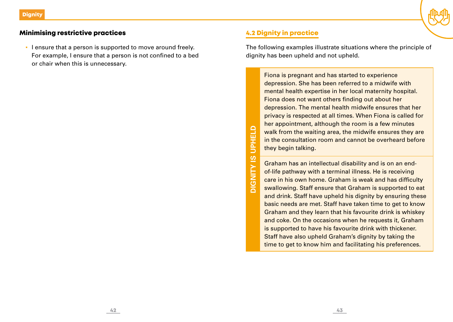

# Minimising restrictive practices

**EXECT** I ensure that a person is supported to move around freely. For example, I ensure that a person is not confined to a bed or chair when this is unnecessary.

> **UPHELD DIGNITY IS UPHELD DIGNITY IS**

# 4.2 Dignity in practice

The following examples illustrate situations where the principle of dignity has been upheld and not upheld.

Fiona is pregnant and has started to experience depression. She has been referred to a midwife with mental health expertise in her local maternity hospital. Fiona does not want others finding out about her depression. The mental health midwife ensures that her privacy is respected at all times. When Fiona is called for her appointment, although the room is a few minutes walk from the waiting area, the midwife ensures they are in the consultation room and cannot be overheard before they begin talking.

Graham has an intellectual disability and is on an endof-life pathway with a terminal illness. He is receiving care in his own home. Graham is weak and has difficulty swallowing. Staff ensure that Graham is supported to eat and drink. Staff have upheld his dignity by ensuring these basic needs are met. Staff have taken time to get to know Graham and they learn that his favourite drink is whiskey and coke. On the occasions when he requests it, Graham is supported to have his favourite drink with thickener. Staff have also upheld Graham's dignity by taking the time to get to know him and facilitating his preferences.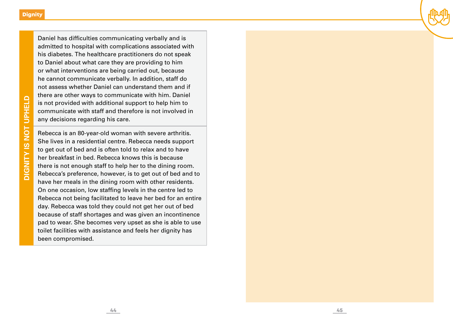Daniel has difficulties communicating verbally and is admitted to hospital with complications associated with his diabetes. The healthcare practitioners do not speak to Daniel about what care they are providing to him or what interventions are being carried out, because he cannot communicate verbally. In addition, staff do not assess whether Daniel can understand them and if there are other ways to communicate with him. Daniel is not provided with additional support to help him to communicate with staff and therefore is not involved in any decisions regarding his care.

Rebecca is an 80-year-old woman with severe arthritis. She lives in a residential centre. Rebecca needs support to get out of bed and is often told to relax and to have her breakfast in bed. Rebecca knows this is because there is not enough staff to help her to the dining room. Rebecca's preference, however, is to get out of bed and to have her meals in the dining room with other residents. On one occasion, low staffing levels in the centre led to Rebecca not being facilitated to leave her bed for an entire day. Rebecca was told they could not get her out of bed because of staff shortages and was given an incontinence pad to wear. She becomes very upset as she is able to use toilet facilities with assistance and feels her dignity has been compromised.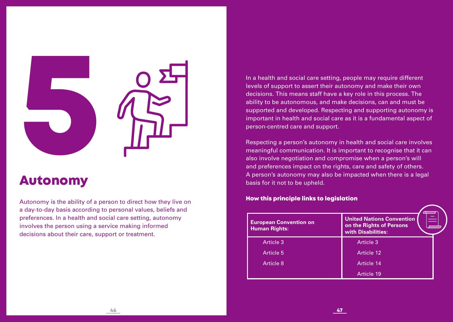

# Autonomy

Autonomy is the ability of a person to direct how they live on a day-to-day basis according to personal values, beliefs and preferences. In a health and social care setting, autonomy involves the person using a service making informed decisions about their care, support or treatment.

In a health and social care setting, people may require different levels of support to assert their autonomy and make their own decisions. This means staff have a key role in this process. The ability to be autonomous, and make decisions, can and must be supported and developed. Respecting and supporting autonomy is important in health and social care as it is a fundamental aspect of person-centred care and support.

Respecting a person's autonomy in health and social care involves meaningful communication. It is important to recognise that it can also involve negotiation and compromise when a person's will and preferences impact on the rights, care and safety of others. A person's autonomy may also be impacted when there is a legal basis for it not to be upheld.

#### How this principle links to legislation

| <b>European Convention on</b><br><b>Human Rights:</b> | <b>United Nations Convention</b><br>on the Rights of Persons<br>with Disabilities: |  |
|-------------------------------------------------------|------------------------------------------------------------------------------------|--|
| Article 3                                             | Article 3                                                                          |  |
| Article 5                                             | Article 12                                                                         |  |
| Article 8                                             | Article 14                                                                         |  |
|                                                       | Article 19                                                                         |  |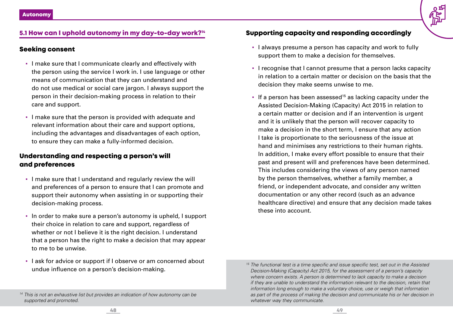#### 5.1 How can I uphold autonomy in my day-to-day work?14

#### Seeking consent

- I make sure that I communicate clearly and effectively with the person using the service I work in. I use language or other means of communication that they can understand and do not use medical or social care jargon. I always support the person in their decision-making process in relation to their care and support.
- I make sure that the person is provided with adequate and relevant information about their care and support options, including the advantages and disadvantages of each option, to ensure they can make a fully-informed decision.

# Understanding and respecting a person's will and preferences

- I make sure that I understand and regularly review the will and preferences of a person to ensure that I can promote and support their autonomy when assisting in or supporting their decision-making process.
- In order to make sure a person's autonomy is upheld, I support their choice in relation to care and support, regardless of whether or not I believe it is the right decision. I understand that a person has the right to make a decision that may appear to me to be unwise.
- I ask for advice or support if I observe or am concerned about undue influence on a person's decision-making.

## Supporting capacity and responding accordingly

- I always presume a person has capacity and work to fully support them to make a decision for themselves.
- I recognise that I cannot presume that a person lacks capacity in relation to a certain matter or decision on the basis that the decision they make seems unwise to me.
- **•** If a person has been assessed<sup>15</sup> as lacking capacity under the Assisted Decision-Making (Capacity) Act 2015 in relation to a certain matter or decision and if an intervention is urgent and it is unlikely that the person will recover capacity to make a decision in the short term, I ensure that any action I take is proportionate to the seriousness of the issue at hand and minimises any restrictions to their human rights. In addition, I make every effort possible to ensure that their past and present will and preferences have been determined. This includes considering the views of any person named by the person themselves, whether a family member, a friend, or independent advocate, and consider any written documentation or any other record (such as an advance healthcare directive) and ensure that any decision made takes these into account.

*<sup>14</sup> This is not an exhaustive list but provides an indication of how autonomy can be supported and promoted.*

*<sup>15</sup> The functional test is a time specific and issue specific test, set out in the Assisted Decision-Making (Capacity) Act 2015, for the assessment of a person's capacity where concern exists. A person is determined to lack capacity to make a decision if they are unable to understand the information relevant to the decision, retain that information long enough to make a voluntary choice, use or weigh that information as part of the process of making the decision and communicate his or her decision in whatever way they communicate.*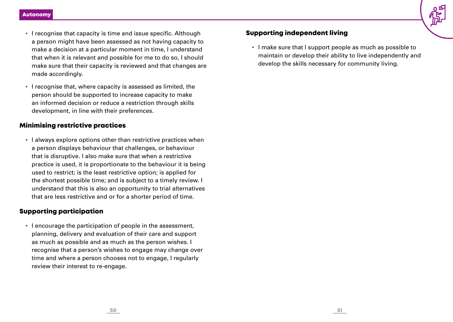- I recognise that capacity is time and issue specific. Although a person might have been assessed as not having capacity to make a decision at a particular moment in time, I understand that when it is relevant and possible for me to do so, I should make sure that their capacity is reviewed and that changes are made accordingly.
- I recognise that, where capacity is assessed as limited, the person should be supported to increase capacity to make an informed decision or reduce a restriction through skills development, in line with their preferences.

#### Minimising restrictive practices

▪ I always explore options other than restrictive practices when a person displays behaviour that challenges, or behaviour that is disruptive. I also make sure that when a restrictive practice is used, it is proportionate to the behaviour it is being used to restrict; is the least restrictive option; is applied for the shortest possible time; and is subject to a timely review. I understand that this is also an opportunity to trial alternatives that are less restrictive and or for a shorter period of time.

#### Supporting participation

▪ I encourage the participation of people in the assessment, planning, delivery and evaluation of their care and support as much as possible and as much as the person wishes. I recognise that a person's wishes to engage may change over time and where a person chooses not to engage, I regularly review their interest to re-engage.

# Supporting independent living

▪ I make sure that I support people as much as possible to maintain or develop their ability to live independently and develop the skills necessary for community living.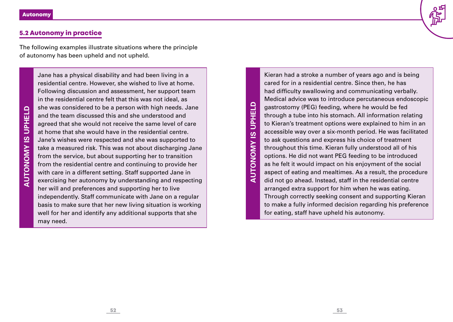# 5.2 Autonomy in practice

The following examples illustrate situations where the principle of autonomy has been upheld and not upheld.

Jane has a physical disability and had been living in a residential centre. However, she wished to live at home. Following discussion and assessment, her support team in the residential centre felt that this was not ideal, as she was considered to be a person with high needs. Jane and the team discussed this and she understood and agreed that she would not receive the same level of care at home that she would have in the residential centre. Jane's wishes were respected and she was supported to take a measured risk. This was not about discharging Jane from the service, but about supporting her to transition from the residential centre and continuing to provide her with care in a different setting. Staff supported Jane in exercising her autonomy by understanding and respecting her will and preferences and supporting her to live independently. Staff communicate with Jane on a regular basis to make sure that her new living situation is working well for her and identify any additional supports that she may need.

**UPHELD AUTONOMY IS UPHELD AUTONOMY IS**  Kieran had a stroke a number of years ago and is being cared for in a residential centre. Since then, he has had difficulty swallowing and communicating verbally. Medical advice was to introduce percutaneous endoscopic gastrostomy (PEG) feeding, where he would be fed through a tube into his stomach. All information relating to Kieran's treatment options were explained to him in an accessible way over a six-month period. He was facilitated to ask questions and express his choice of treatment throughout this time. Kieran fully understood all of his options. He did not want PEG feeding to be introduced as he felt it would impact on his enjoyment of the social aspect of eating and mealtimes. As a result, the procedure did not go ahead. Instead, staff in the residential centre arranged extra support for him when he was eating. Through correctly seeking consent and supporting Kieran to make a fully informed decision regarding his preference for eating, staff have upheld his autonomy.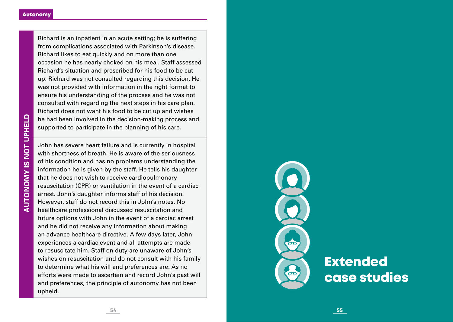Richard is an inpatient in an acute setting; he is suffering from complications associated with Parkinson's disease. Richard likes to eat quickly and on more than one occasion he has nearly choked on his meal. Staff assessed Richard's situation and prescribed for his food to be cut up. Richard was not consulted regarding this decision. He was not provided with information in the right format to ensure his understanding of the process and he was not consulted with regarding the next steps in his care plan. Richard does not want his food to be cut up and wishes he had been involved in the decision-making process and supported to participate in the planning of his care.

John has severe heart failure and is currently in hospital with shortness of breath. He is aware of the seriousness of his condition and has no problems understanding the information he is given by the staff. He tells his daughter that he does not wish to receive cardiopulmonary resuscitation (CPR) or ventilation in the event of a cardiac arrest. John's daughter informs staff of his decision. However, staff do not record this in John's notes. No healthcare professional discussed resuscitation and future options with John in the event of a cardiac arrest and he did not receive any information about making an advance healthcare directive. A few days later, John experiences a cardiac event and all attempts are made to resuscitate him. Staff on duty are unaware of John's wishes on resuscitation and do not consult with his family to determine what his will and preferences are. As no efforts were made to ascertain and record John's past will and preferences, the principle of autonomy has not been upheld.

 $\infty$ ്ത

# **Extended** case studies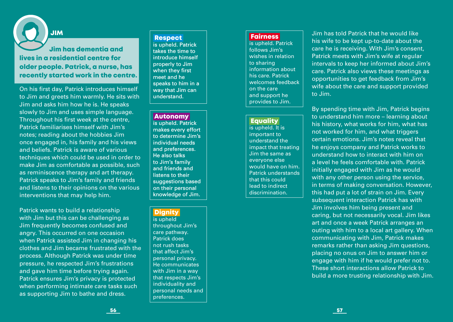#### JIM

Jim has dementia and lives in a residential centre for older people. Patrick, a nurse, has recently started work in the centre.

On his first day, Patrick introduces himself to Jim and greets him warmly. He sits with Jim and asks him how he is. He speaks slowly to Jim and uses simple language. Throughout his first week at the centre, Patrick familiarises himself with Jim's notes; reading about the hobbies Jim once engaged in, his family and his views and beliefs. Patrick is aware of various techniques which could be used in order to make Jim as comfortable as possible, such as reminiscence therapy and art therapy. Patrick speaks to Jim's family and friends and listens to their opinions on the various interventions that may help him.

Patrick wants to build a relationship with Jim but this can be challenging as Jim frequently becomes confused and angry. This occurred on one occasion when Patrick assisted Jim in changing his clothes and Jim became frustrated with the process. Although Patrick was under time pressure, he respected Jim's frustrations and gave him time before trying again. Patrick ensures Jim's privacy is protected when performing intimate care tasks such as supporting Jim to bathe and dress.

#### **Respect**

is upheld. Patrick takes the time to introduce himself properly to Jim when they first meet and he speaks to him in a way that Jim can understand.

#### Autonomy

is upheld. Patrick makes every effort to determine Jim's individual needs and preferences. He also talks to Jim's family and friends and listens to their suggestions based on their personal knowledge of Jim.

#### **Dignity**

is upheld throughout Jim's care pathway. Patrick does not rush tasks that affect Jim's personal privacy. He communicates with Jim in a way that respects Jim's individuality and personal needs and preferences.

#### **Fairness**

is upheld. Patrick follows Jim's wishes in relation to sharing information about his care. Patrick welcomes feedback on the care and support he provides to Jim.

#### **Equality**

is upheld. It is important to understand the impact that treating Jim the same as everyone else would have on him. Patrick understands that this could lead to indirect discrimination.

Jim has told Patrick that he would like his wife to be kept up-to-date about the care he is receiving. With Jim's consent, Patrick meets with Jim's wife at regular intervals to keep her informed about Jim's care. Patrick also views these meetings as opportunities to get feedback from Jim's wife about the care and support provided to Jim.

By spending time with Jim, Patrick begins to understand him more – learning about his history, what works for him, what has not worked for him, and what triggers certain emotions. Jim's notes reveal that he enjoys company and Patrick works to understand how to interact with him on a level he feels comfortable with. Patrick initially engaged with Jim as he would with any other person using the service, in terms of making conversation. However, this had put a lot of strain on Jim. Every subsequent interaction Patrick has with Jim involves him being present and caring, but not necessarily vocal. Jim likes art and once a week Patrick arranges an outing with him to a local art gallery. When communicating with Jim, Patrick makes remarks rather than asking Jim questions, placing no onus on Jim to answer him or engage with him if he would prefer not to. These short interactions allow Patrick to build a more trusting relationship with Jim.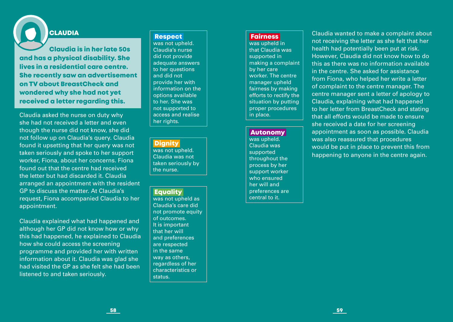# **CLAUDIA**

Claudia is in her late 50s and has a physical disability. She lives in a residential care centre. She recently saw an advertisement on TV about BreastCheck and wondered why she had not yet received a letter regarding this.

Claudia asked the nurse on duty why she had not received a letter and even though the nurse did not know, she did not follow up on Claudia's query. Claudia found it upsetting that her query was not taken seriously and spoke to her support worker, Fiona, about her concerns. Fiona found out that the centre had received the letter but had discarded it. Claudia arranged an appointment with the resident GP to discuss the matter. At Claudia's request, Fiona accompanied Claudia to her appointment.

Claudia explained what had happened and although her GP did not know how or why this had happened, he explained to Claudia how she could access the screening programme and provided her with written information about it. Claudia was glad she had visited the GP as she felt she had been listened to and taken seriously.

#### **Respect**

was not upheld. Claudia's nurse did not provide adequate answers to her questions and did not provide her with information on the options available to her. She was not supported to access and realise her rights.

#### **Dignity**

was not upheld. Claudia was not taken seriously by the nurse.

#### **Equality**

was not upheld as Claudia's care did not promote equity of outcomes. It is important that her will and preferences are respected in the same way as others, regardless of her characteristics or status.

#### **Fairness**

was upheld in that Claudia was supported in making a complaint by her care worker. The centre manager upheld fairness by making efforts to rectify the situation by putting proper procedures in place.

#### Autonomy

was upheld. Claudia was supported throughout the process by her support worker who ensured her will and preferences are central to it.

Claudia wanted to make a complaint about not receiving the letter as she felt that her health had potentially been put at risk. However, Claudia did not know how to do this as there was no information available in the centre. She asked for assistance from Fiona, who helped her write a letter of complaint to the centre manager. The centre manager sent a letter of apology to Claudia, explaining what had happened to her letter from BreastCheck and stating that all efforts would be made to ensure she received a date for her screening appointment as soon as possible. Claudia was also reassured that procedures would be put in place to prevent this from happening to anyone in the centre again.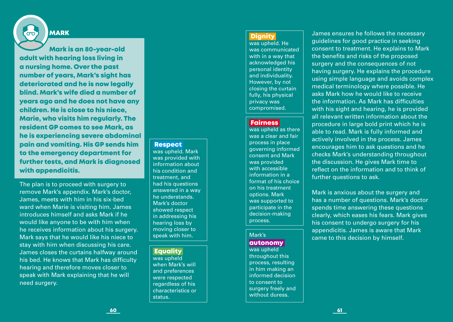# MARK

്ന

Mark is an 80-year-old adult with hearing loss living in a nursing home. Over the past number of years, Mark's sight has deteriorated and he is now legally blind. Mark's wife died a number of years ago and he does not have any children. He is close to his niece, Marie, who visits him regularly. The resident GP comes to see Mark, as he is experiencing severe abdominal pain and vomiting. His GP sends him to the emergency department for further tests, and Mark is diagnosed with appendicitis.

The plan is to proceed with surgery to remove Mark's appendix. Mark's doctor, James, meets with him in his six-bed ward when Marie is visiting him. James introduces himself and asks Mark if he would like anyone to be with him when he receives information about his surgery. Mark says that he would like his niece to stay with him when discussing his care. James closes the curtains halfway around his bed. He knows that Mark has difficulty hearing and therefore moves closer to speak with Mark explaining that he will need surgery.

#### **Respect**

was upheld. Mark was provided with information about his condition and treatment, and had his questions answered in a way he understands. Mark's doctor showed respect in addressing his hearing loss by moving closer to speak with him.

#### Equality

was upheld when Mark's will and preferences were respected regardless of his characteristics or status.

#### **Dianity**

was upheld. He was communicated with in a way that acknowledged his personal identity and individuality. However, by not closing the curtain fully, his physical privacy was compromised.

#### **Fairness**

was upheld as there was a clear and fair process in place governing informed consent and Mark was provided with accessible information in a format of his choice on his treatment options. Mark was supported to participate in the decision-making process.

## Mark's

#### autonomy

was upheld throughout this process, resulting in him making an informed decision to consent to surgery freely and without duress.

James ensures he follows the necessary guidelines for good practice in seeking consent to treatment. He explains to Mark the benefits and risks of the proposed surgery and the consequences of not having surgery. He explains the procedure using simple language and avoids complex medical terminology where possible. He asks Mark how he would like to receive the information. As Mark has difficulties with his sight and hearing, he is provided all relevant written information about the procedure in large bold print which he is able to read. Mark is fully informed and actively involved in the process. James encourages him to ask questions and he checks Mark's understanding throughout the discussion. He gives Mark time to reflect on the information and to think of further questions to ask.

Mark is anxious about the surgery and has a number of questions. Mark's doctor spends time answering these questions clearly, which eases his fears. Mark gives his consent to undergo surgery for his appendicitis. James is aware that Mark came to this decision by himself.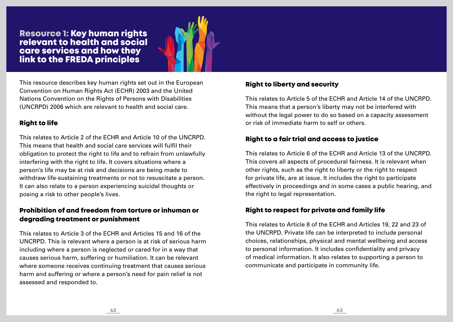Resource 1: Key human rights relevant to health and social care services and how they link to the FREDA principles



This resource describes key human rights set out in the European Convention on Human Rights Act (ECHR) 2003 and the United Nations Convention on the Rights of Persons with Disabilities (UNCRPD) 2006 which are relevant to health and social care.

# Right to life

This relates to Article 2 of the ECHR and Article 10 of the UNCRPD. This means that health and social care services will fulfil their obligation to protect the right to life and to refrain from unlawfully interfering with the right to life. It covers situations where a person's life may be at risk and decisions are being made to withdraw life-sustaining treatments or not to resuscitate a person. It can also relate to a person experiencing suicidal thoughts or posing a risk to other people's lives.

# Prohibition of and freedom from torture or inhuman or degrading treatment or punishment

This relates to Article 3 of the ECHR and Articles 15 and 16 of the UNCRPD. This is relevant where a person is at risk of serious harm including where a person is neglected or cared for in a way that causes serious harm, suffering or humiliation. It can be relevant where someone receives continuing treatment that causes serious harm and suffering or where a person's need for pain relief is not assessed and responded to.

# Right to liberty and security

This relates to Article 5 of the ECHR and Article 14 of the UNCRPD. This means that a person's liberty may not be interfered with without the legal power to do so based on a capacity assessment or risk of immediate harm to self or others.

# Right to a fair trial and access to justice

This relates to Article 6 of the ECHR and Article 13 of the UNCRPD. This covers all aspects of procedural fairness. It is relevant when other rights, such as the right to liberty or the right to respect for private life, are at issue. It includes the right to participate effectively in proceedings and in some cases a public hearing, and the right to legal representation.

# Right to respect for private and family life

This relates to Article 8 of the ECHR and Articles 19, 22 and 23 of the UNCRPD. Private life can be interpreted to include personal choices, relationships, physical and mental wellbeing and access to personal information. It includes confidentiality and privacy of medical information. It also relates to supporting a person to communicate and participate in community life.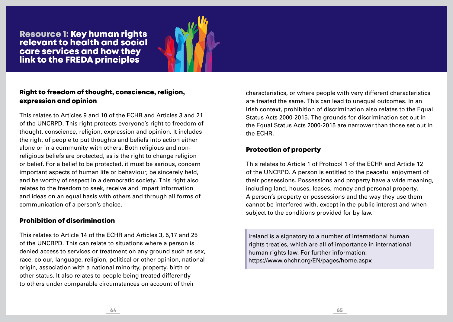Resource 1: Key human rights relevant to health and social care services and how they link to the FREDA principles



# Right to freedom of thought, conscience, religion, expression and opinion

This relates to Articles 9 and 10 of the ECHR and Articles 3 and 21 of the UNCRPD. This right protects everyone's right to freedom of thought, conscience, religion, expression and opinion. It includes the right of people to put thoughts and beliefs into action either alone or in a community with others. Both religious and nonreligious beliefs are protected, as is the right to change religion or belief. For a belief to be protected, it must be serious, concern important aspects of human life or behaviour, be sincerely held, and be worthy of respect in a democratic society. This right also relates to the freedom to seek, receive and impart information and ideas on an equal basis with others and through all forms of communication of a person's choice.

# Prohibition of discrimination

This relates to Article 14 of the ECHR and Articles 3, 5,17 and 25 of the UNCRPD. This can relate to situations where a person is denied access to services or treatment on any ground such as sex, race, colour, language, religion, political or other opinion, national origin, association with a national minority, property, birth or other status. It also relates to people being treated differently to others under comparable circumstances on account of their

characteristics, or where people with very different characteristics are treated the same. This can lead to unequal outcomes. In an Irish context, prohibition of discrimination also relates to the Equal Status Acts 2000-2015. The grounds for discrimination set out in the Equal Status Acts 2000-2015 are narrower than those set out in the ECHR.

# Protection of property

This relates to Article 1 of Protocol 1 of the ECHR and Article 12 of the UNCRPD. A person is entitled to the peaceful enjoyment of their possessions. Possessions and property have a wide meaning, including land, houses, leases, money and personal property. A person's property or possessions and the way they use them cannot be interfered with, except in the public interest and when subject to the conditions provided for by law.

Ireland is a signatory to a number of international human rights treaties, which are all of importance in international human rights law. For further information: https://www.ohchr.org/EN/pages/home.aspx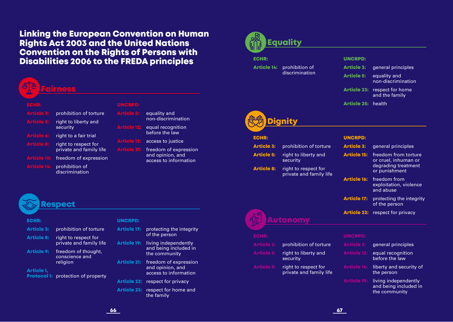# Linking the European Convention on Human Rights Act 2003 and the United Nations Convention on the Rights of Persons with Disabilities 2006 to the FREDA principles

# Faire

#### ECHR:

| Article 3:        | prohibition of torture                          |
|-------------------|-------------------------------------------------|
| Article 5:        | right to liberty and<br>security                |
| <b>Article 6:</b> | right to a fair trial                           |
| Article 8:        | right to respect for<br>private and family life |
| Article 10:       | freedom of expression                           |
| Article 14:       | prohibition of                                  |

discrimination

#### UNCRPD:

**Article 5:** equality and non-discrimination

- **Article 12:** equal recognition before the law
- **Article 13:** access to justice

**Article 21:** freedom of expression and opinion, and access to information

# Respect

| <b>ECHR:</b>      |                                                   |
|-------------------|---------------------------------------------------|
| <b>Article 3:</b> | prohibition of torture                            |
| <b>Article 8:</b> | right to respect for<br>private and family life   |
| <b>Article 9:</b> | freedom of thought,<br>conscience and<br>religion |
| <b>Article 1,</b> |                                                   |

**Protocol 1:** protection of property

#### UNCRPD:

Article 17: protecting the integrity of the person

Article 19: living independently and being included in the community

Article 21: freedom of expression and opinion, and access to information

- Article 22: respect for privacy
- Article 23: respect for home and the family

# Equality

ECHR:

Article 14: prohibition of discrimination

#### UNCRPD:

| <b>Article 3:</b> | general principles |
|-------------------|--------------------|
|                   |                    |

- Article 5: equality and non-discrimination
- Article 23: respect for home and the family
- Article 25: health



#### ECHR:

Article 3: prohibition of torture **Article 5:** right to liberty and security

Article 8: right to respect for private and family life

#### UNCRPD:

| <b>Article 3:</b>  | general principles                                                                   |
|--------------------|--------------------------------------------------------------------------------------|
| <b>Article 15:</b> | freedom from torture<br>or cruel, inhuman or<br>degrading treatment<br>or punishment |
| <b>Article 16:</b> | freedom from<br>exploitation, violence<br>and abuse                                  |
| <b>Article 17:</b> | protecting the integrity                                                             |



Article 22: respect for privacy

# Autonomy

| e volte           |                                                 |
|-------------------|-------------------------------------------------|
| <b>Article 3:</b> | prohibition of torture                          |
| <b>Article 5:</b> | right to liberty and<br>security                |
| <b>Article 8:</b> | right to respect for<br>private and family life |

- Article 3: general principles
- Article 12: equal recognition before the law
- Article 14: liberty and security of the person
- Article 19: living independently and being included in the community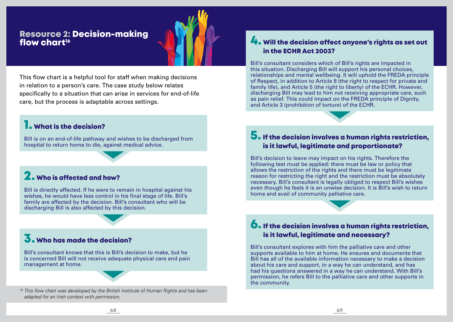# Resource 2: Decision-making flow chart<sup>16</sup>

This flow chart is a helpful tool for staff when making decisions in relation to a person's care. The case study below relates specifically to a situation that can arise in services for end-of-life care, but the process is adaptable across settings.

# **1.** What is the decision?

Bill is on an end-of-life pathway and wishes to be discharged from hospital to return home to die, against medical advice.

# 2. Who is affected and how?

Bill is directly affected. If he were to remain in hospital against his wishes, he would have less control in his final stage of life. Bill's family are affected by the decision. Bill's consultant who will be discharging Bill is also affected by this decision.

# 3. Who has made the decision?

Bill's consultant knows that this is Bill's decision to make, but he is concerned Bill will not receive adequate physical care and pain management at home.

*<sup>16</sup> This flow chart was developed by the British Institute of Human Rights and has been adapted for an Irish context with permission.*

# **4.** Will the decision affect anyone's rights as set out in the ECHR Act 2003?

Bill's consultant considers which of Bill's rights are impacted in this situation. Discharging Bill will support his personal choices, relationships and mental wellbeing. It will uphold the FREDA principle of Respect, in addition to Article 8 (the right to respect for private and family life), and Article 5 (the right to liberty) of the ECHR. However, discharging Bill may lead to him not receiving appropriate care, such as pain relief. This could impact on the FREDA principle of Dignity, and Article 3 (prohibition of torture) of the ECHR.

# 5. If the decision involves a human rights restriction, is it lawful, legitimate and proportionate?

Bill's decision to leave may impact on his rights. Therefore the following test must be applied: there must be law or policy that allows the restriction of the rights and there must be legitimate reason for restricting the right and the restriction must be absolutely necessary. Bill's consultant is legally obliged to respect Bill's wishes even though he feels it is an unwise decision. It is Bill's wish to return home and avail of community palliative care.

# 6. If the decision involves a human rights restriction, is it lawful, legitimate and necessary?

Bill's consultant explores with him the palliative care and other supports available to him at home. He ensures and documents that Bill has all of the available information necessary to make a decision about his care and support, in a way he can understand, and has had his questions answered in a way he can understand. With Bill's permission, he refers Bill to the palliative care and other supports in the community.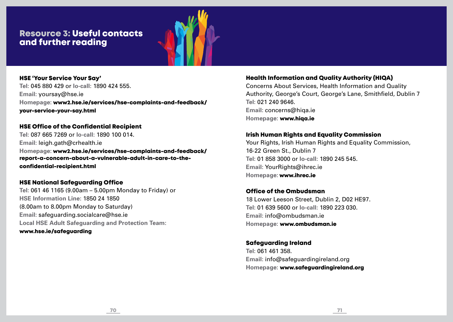# Resource 3: Useful contacts and further reading



#### HSE 'Your Service Your Say'

**Tel:** 045 880 429 or **lo-call:** 1890 424 555. **Email:** yoursay@hse.ie **Homepage:** www2.hse.ie/services/hse-complaints-and-feedback/ your-service-your-say.html

#### HSE Office of the Confidential Recipient

**Tel:** 087 665 7269 or **lo-call:** 1890 100 014. **Email:** leigh.gath@crhealth.ie **Homepage:** www2.hse.ie/services/hse-complaints-and-feedback/ report-a-concern-about-a-vulnerable-adult-in-care-to-theconfidential-recipient.html

#### HSE National Safeguarding Office

**Tel:** 061 46 1165 (9.00am – 5.00pm Monday to Friday) or **HSE Information Line:** 1850 24 1850 (8.00am to 8.00pm Monday to Saturday) **Email:** safeguarding.socialcare@hse.ie **Local HSE Adult Safeguarding and Protection Team:** www.hse.ie/safeguarding

#### Health Information and Quality Authority (HIQA)

Concerns About Services, Health Information and Quality Authority, George's Court, George's Lane, Smithfield, Dublin 7 **Tel:** 021 240 9646. **Email:** concerns@hiqa.ie **Homepage:** www.hiqa.ie

#### Irish Human Rights and Equality Commission

Your Rights, Irish Human Rights and Equality Commission, 16-22 Green St., Dublin 7 **Tel:** 01 858 3000 or **lo-call:** 1890 245 545. **Email:** YourRights@ihrec.ie **Homepage:** www.ihrec.ie

#### Office of the Ombudsman

18 Lower Leeson Street, Dublin 2, D02 HE97. **Tel:** 01 639 5600 or **lo-call:** 1890 223 030. **Email:** info@ombudsman.ie **Homepage:** www.ombudsman.ie

#### Safeguarding Ireland

**Tel:** 061 461 358. **Email:** info@safeguardingireland.org **Homepage:** www.safeguardingireland.org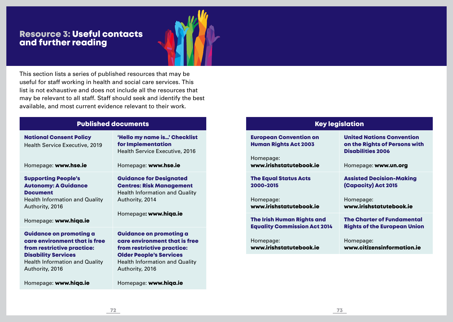# Resource 3: Useful contacts and further reading



This section lists a series of published resources that may be useful for staff working in health and social care services. This list is not exhaustive and does not include all the resources that may be relevant to all staff. Staff should seek and identify the best available, and most current evidence relevant to their work.

# Published documents

| <b>National Consent Policy</b><br><b>Health Service Executive, 2019</b>                                                                                                                 | 'Hello my name is' Checklist<br>for Implementation<br>Health Service Executive, 2016                                                                                                                                 |
|-----------------------------------------------------------------------------------------------------------------------------------------------------------------------------------------|----------------------------------------------------------------------------------------------------------------------------------------------------------------------------------------------------------------------|
| Homepage: www.hse.ie                                                                                                                                                                    | Homepage: www.hse.ie                                                                                                                                                                                                 |
| <b>Supporting People's</b><br><b>Autonomy: A Guidance</b><br><b>Document</b><br><b>Health Information and Quality</b><br>Authority, 2016<br>Homepage: www.hiqa.ie                       | <b>Guidance for Designated</b><br><b>Centres: Risk Management</b><br><b>Health Information and Quality</b><br>Authority, 2014<br>Homepage: www.hiqa.ie                                                               |
| <b>Guidance on promoting a</b><br>care environment that is free<br>from restrictive practice:<br><b>Disability Services</b><br><b>Health Information and Quality</b><br>Authority, 2016 | <b>Guidance on promoting a</b><br>care environment that is free<br>from restrictive practice:<br><b>Older People's Services</b><br><b>Health Information and Quality</b><br>Authority, 2016<br>Homepage: www.hiqa.ie |
| Homepage: www.hiqa.ie                                                                                                                                                                   |                                                                                                                                                                                                                      |

| <b>Key legislation</b>                                        |                                                                                               |
|---------------------------------------------------------------|-----------------------------------------------------------------------------------------------|
| <b>European Convention on</b><br><b>Human Rights Act 2003</b> | <b>United Nations Convention</b><br>on the Rights of Persons with<br><b>Disabilities 2006</b> |
| Homepage:<br>www.irishstatutebook.ie                          | Homepage: www.un.org                                                                          |
| <b>The Equal Status Acts</b>                                  | <b>Assisted Decision-Making</b>                                                               |
| 2000-2015                                                     | <b>(Capacity) Act 2015</b>                                                                    |
| Homepage:                                                     | Homepage:                                                                                     |
| www.irishstatutebook.ie                                       | www.irishstatutebook.ie                                                                       |
| <b>The Irish Human Rights and</b>                             | <b>The Charter of Fundamental</b>                                                             |
| <b>Equality Commission Act 2014</b>                           | <b>Rights of the European Union</b>                                                           |
| Homepage:                                                     | Homepage:                                                                                     |
| www.irishstatutebook.ie                                       | www.citizensinformation.ie                                                                    |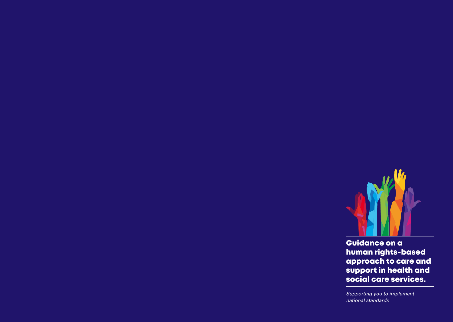

Guidance on a human rights-based approach to care and support in health and social care services.

*Supporting you to implement national standards*